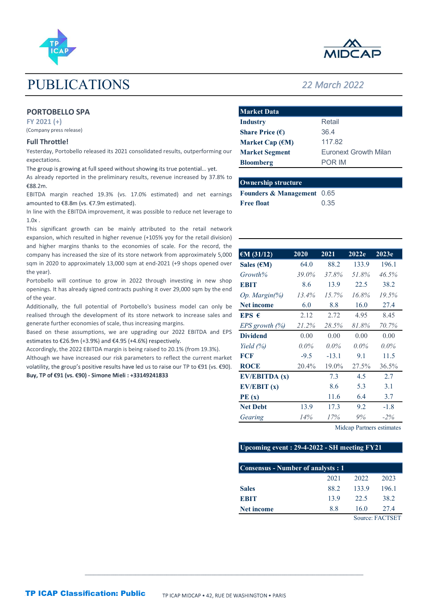

# PUBLICATIONS 22 March 2022

# PORTOBELLO SPA

## Full Throttle!

| <b>PUBLICATIONS</b>                                                                                                                                                                                                                   |                                                       |       | <b>22 March 2022</b> |                              |       |
|---------------------------------------------------------------------------------------------------------------------------------------------------------------------------------------------------------------------------------------|-------------------------------------------------------|-------|----------------------|------------------------------|-------|
| <b>PORTOBELLO SPA</b>                                                                                                                                                                                                                 | <b>Market Data</b>                                    |       |                      |                              |       |
| FY 2021 (+)<br>(Company press release)                                                                                                                                                                                                | <b>Industry</b>                                       |       | Retail               |                              |       |
| <b>Full Throttle!</b>                                                                                                                                                                                                                 | Share Price $(\epsilon)$<br>Market Cap $(\epsilon M)$ |       | 36.4<br>117.82       |                              |       |
| Yesterday, Portobello released its 2021 consolidated results, outperforming our                                                                                                                                                       | <b>Market Segment</b>                                 |       |                      | <b>Euronext Growth Milan</b> |       |
| expectations.                                                                                                                                                                                                                         | <b>Bloomberg</b>                                      |       | POR IM               |                              |       |
| The group is growing at full speed without showing its true potential yet.<br>As already reported in the preliminary results, revenue increased by 37.8% to<br>€88.2m.                                                                | <b>Ownership structure</b>                            |       |                      |                              |       |
| EBITDA margin reached 19.3% (vs. 17.0% estimated) and net earnings                                                                                                                                                                    | Founders & Management 0.65                            |       |                      |                              |       |
| amounted to €8.8m (vs. €7.9m estimated).<br>In line with the EBITDA improvement, it was possible to reduce net leverage to<br>$1.0x$ .                                                                                                | <b>Free float</b>                                     |       | 0.35                 |                              |       |
| This significant growth can be mainly attributed to the retail network<br>expansion, which resulted in higher revenue (+105% yoy for the retail division)<br>and higher margins thanks to the economies of scale. For the record, the |                                                       |       |                      |                              |       |
| company has increased the size of its store network from approximately 5,000                                                                                                                                                          | $\epsilon M$ (31/12)                                  | 2020  | 2021                 | 2022e                        | 2023e |
| sqm in 2020 to approximately 13,000 sqm at end-2021 (+9 shops opened over                                                                                                                                                             | Sales $(\epsilon M)$                                  | 64.0  | 88.2                 | 133.9                        | 196.1 |
| the year).<br>Portobello will continue to grow in 2022 through investing in new shop                                                                                                                                                  | Growth%                                               | 39.0% | 37.8%                | 51.8%                        | 46.5% |
| openings. It has already signed contracts pushing it over 29,000 sqm by the end                                                                                                                                                       | <b>EBIT</b>                                           | 8.6   | 13.9                 | 22.5                         | 38.2  |
| of the year.                                                                                                                                                                                                                          | Op. Margin(%)                                         | 13.4% | 15.7%                | 16.8%                        | 19.5% |

| <b>Ownership structure</b>            |      |
|---------------------------------------|------|
| <b>Founders &amp; Management</b> 0.65 |      |
| <b>Free float</b>                     | 0.35 |

| <b>PUBLICATIONS</b>                                                                                                                                         |                                             |               | <b>22 March 2022</b> |                              |                 |
|-------------------------------------------------------------------------------------------------------------------------------------------------------------|---------------------------------------------|---------------|----------------------|------------------------------|-----------------|
| <b>PORTOBELLO SPA</b>                                                                                                                                       | <b>Market Data</b>                          |               |                      |                              |                 |
| $FY$ 2021 $(+)$                                                                                                                                             | <b>Industry</b>                             |               | Retail               |                              |                 |
| (Company press release)                                                                                                                                     | Share Price $(\epsilon)$                    |               | 36.4                 |                              |                 |
| <b>Full Throttle!</b>                                                                                                                                       | Market Cap $(\epsilon M)$                   |               | 117.82               |                              |                 |
| Yesterday, Portobello released its 2021 consolidated results, outperforming our                                                                             | <b>Market Segment</b>                       |               |                      | <b>Euronext Growth Milan</b> |                 |
| expectations.                                                                                                                                               | <b>Bloomberg</b>                            |               | POR IM               |                              |                 |
| The group is growing at full speed without showing its true potential yet.<br>As already reported in the preliminary results, revenue increased by 37.8% to | <b>Ownership structure</b>                  |               |                      |                              |                 |
| €88.2m.<br>EBITDA margin reached 19.3% (vs. 17.0% estimated) and net earnings                                                                               | Founders & Management 0.65                  |               |                      |                              |                 |
| amounted to €8.8m (vs. €7.9m estimated).                                                                                                                    | <b>Free float</b>                           |               | 0.35                 |                              |                 |
| In line with the EBITDA improvement, it was possible to reduce net leverage to<br>$1.0x$ .                                                                  |                                             |               |                      |                              |                 |
| This significant growth can be mainly attributed to the retail network<br>expansion, which resulted in higher revenue (+105% yoy for the retail division)   |                                             |               |                      |                              |                 |
| and higher margins thanks to the economies of scale. For the record, the                                                                                    |                                             |               |                      |                              |                 |
| company has increased the size of its store network from approximately 5,000<br>sqm in 2020 to approximately 13,000 sqm at end-2021 (+9 shops opened over   | $\epsilon$ M (31/12)                        | 2020          | 2021<br>88.2         | 2022e<br>133.9               | 2023e<br>196.1  |
| the year).                                                                                                                                                  | Sales $(\epsilon M)$<br>Growth%             | 64.0<br>39.0% | 37.8%                | 51.8%                        | 46.5%           |
| Portobello will continue to grow in 2022 through investing in new shop                                                                                      | <b>EBIT</b>                                 | 8.6           | 13.9                 | 22.5                         | 38.2            |
| openings. It has already signed contracts pushing it over 29,000 sqm by the end                                                                             | Op. Margin(%)                               | 13.4%         | 15.7%                | 16.8%                        | 19.5%           |
| of the year.<br>Additionally, the full potential of Portobello's business model can only be                                                                 | Net income                                  | 6.0           | 8.8                  | 16.0                         | 27.4            |
| realised through the development of its store network to increase sales and                                                                                 | EPS $\epsilon$                              | 2.12          | 2.72                 | 4.95                         | 8.45            |
| generate further economies of scale, thus increasing margins.                                                                                               | $EPS$ growth $(\%)$                         | 21.2%         | 28.5%                | 81.8%                        | 70.7%           |
| Based on these assumptions, we are upgrading our 2022 EBITDA and EPS                                                                                        | <b>Dividend</b>                             | 0.00          | 0.00                 | 0.00                         | 0.00            |
| estimates to €26.9m (+3.9%) and €4.95 (+4.6%) respectively.                                                                                                 | Yield $(%)$                                 | $0.0\%$       | $0.0\%$              | $0.0\%$                      | $0.0\%$         |
| Accordingly, the 2022 EBITDA margin is being raised to 20.1% (from 19.3%).<br>Although we have increased our risk parameters to reflect the current market  | <b>FCF</b>                                  | $-9.5$        | $-13.1$              | 9.1                          | 11.5            |
| volatility, the group's positive results have led us to raise our TP to €91 (vs. €90).                                                                      | <b>ROCE</b>                                 | 20.4%         | 19.0%                | 27.5%                        | 36.5%           |
| Buy, TP of €91 (vs. €90) - Simone Mieli : +33149241833                                                                                                      | EV/EBITDA (x)                               |               | 7.3                  | 4.5                          | 2.7             |
|                                                                                                                                                             | EV/EBIT(x)                                  |               | 8.6                  | 5.3                          | 3.1             |
|                                                                                                                                                             | PE(x)                                       |               | 11.6                 | 6.4                          | 3.7             |
|                                                                                                                                                             | <b>Net Debt</b>                             | 13.9          | 17.3                 | 9.2                          | $-1.8$          |
|                                                                                                                                                             | Gearing                                     | 14%           | 17%                  | $9\%$                        | $-2%$           |
|                                                                                                                                                             |                                             |               |                      | Midcap Partners estimates    |                 |
|                                                                                                                                                             | Upcoming event: 29-4-2022 - SH meeting FY21 |               |                      |                              |                 |
|                                                                                                                                                             | <b>Consensus - Number of analysts: 1</b>    |               |                      |                              |                 |
|                                                                                                                                                             |                                             |               | 2021                 | 2022                         | 2023            |
|                                                                                                                                                             | <b>Sales</b>                                |               | 88.2                 | 133.9                        | 196.1           |
|                                                                                                                                                             | <b>EBIT</b>                                 |               | 13.9                 | 22.5                         | 38.2            |
|                                                                                                                                                             | Net income                                  |               | 8.8                  | 16.0                         | 27.4            |
|                                                                                                                                                             |                                             |               |                      |                              | Source: FACTSET |

# Upcoming event : 29-4-2022 - SH meeting FY21

 $\_$  , and the state of the state of the state of the state of the state of the state of the state of the state of the state of the state of the state of the state of the state of the state of the state of the state of the

| <b>Consensus - Number of analysts: 1</b> |      |       |                 |
|------------------------------------------|------|-------|-----------------|
|                                          | 2021 | 2022  | 2023            |
| <b>Sales</b>                             | 88.2 | 133.9 | 196.1           |
| <b>EBIT</b>                              | 13.9 | 22.5  | 38.2            |
| <b>Net income</b>                        | 8.8  | 16.0  | 27.4            |
|                                          |      |       | Source: FACTSET |

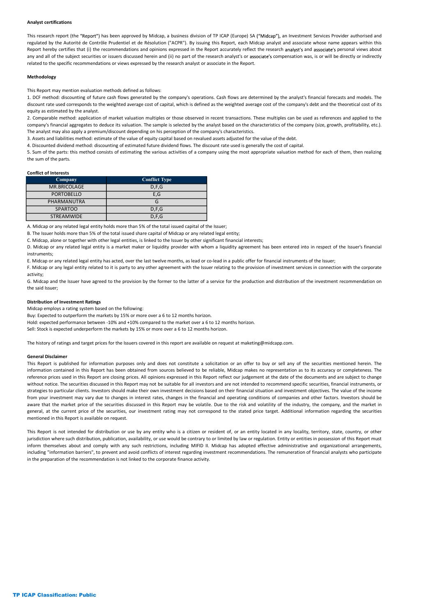#### Analyst certifications

Analyst certifications<br>This research report (the "Report") has been approved by Midcap, a business division of TP ICAP (Europe) SA ("Midcap"), an Investment Services Provider authorised and<br>Report hereby certifies tat (i) Analyst certifications<br>This research report (the "Report") has been approved by Midcap, a business division of TP ICAP (Europe) SA ("Midcap"), an Investment Services Provider authorised and<br>regulated by the Autorité de Con Analyst certifications<br>This research report (the "Report") has been approved by Midcap, a business division of TP ICAP (Europe) SA ("Midcap"), an Investment Services Provider authorised and<br>regulated by the Autorite de Con **Analyst certifications**<br>This research report (the "Report") has been approved by Midcap, a business division of TP ICAP (Europe) SA ("Midcap"), an investment Services Provider authorised and<br>regulated by the Autorité de C related to the specific recommendations or views expressed by the research analyst or associate in the Report. **Analyst certifications**<br>
This research report (the "Report") has been approved by Midcap, a business division of TP ICAP (Europe) SA ("Midcap"), an investment Services Provider authorised and<br>
Report hereby certifies that Analyst certifications<br>This research report (the "Report") has been approved by Middap, a business division of TP ICAP (Europe) SA ("Middap"), an investment Services Provider authorised and<br>regulated by the Autontie de Con Analyst certifications<br>This research report (the "Report") has been approved by Middap, a business division of TP ICAP (Europe) SA ("Middap"), an investment Services Provides authorized and<br>regulated by the Ancested 64 Com Analyst certifications<br>This research report (the "Report") has been approved by Middap, a business division of TP ICAP (Europe) SA ("Middap"), an investment Services Provide authorised and<br>regulated by the Antonik de Condi Analyst certifications<br>This receal of replact (the "figuret") has been approved by Midcap, a busines division of TP (CAP (Europe) SA ("Midcap"), an investme more oppose within this method consists of replact the parts of company the search as been approved by Middap, a business division of TP ICAP (Europe) SA ("Middap"), an investment Services Provider authorities Are Middap (Company Conflict Type) and the Middap (Company Conflict Type) an

#### Methodology

### Conflict of Interests

| Methodology<br>This Report may mention evaluation methods defined as follows:<br>1. DCF method: discounting of future cash flows generated by the company's operations. Cash flows are determined by the analyst's financial forecasts and models. The<br>discount rate used corresponds to the weighted average cost of capital, which is defined as the weighted average cost of the company's debt and the theoretical cost of its<br>equity as estimated by the analyst.<br>2. Comparable method: application of market valuation multiples or those observed in recent transactions. These multiples can be used as references and applied to the<br>company's financial aggregates to deduce its valuation. The sample is selected by the analyst based on the characteristics of the company (size, growth, profitability, etc.).<br>The analyst may also apply a premium/discount depending on his perception of the company's characteristics.<br>3. Assets and liabilities method: estimate of the value of equity capital based on revalued assets adjusted for the value of the debt.<br>4. Discounted dividend method: discounting of estimated future dividend flows. The discount rate used is generally the cost of capital.<br>5. Sum of the parts: this method consists of estimating the various activities of a company using the most appropriate valuation method for each of them, then realizing<br>the sum of the parts.<br><b>Conflict of Interests</b><br><b>Conflict Type</b><br>Company<br><b>MR.BRICOLAGE</b><br>D, F, G<br>E, G<br><b>PORTOBELLO</b><br>G<br>PHARMANUTRA<br><b>SPARTOO</b><br>D, F, G<br><b>STREAMWIDE</b><br>D.F.G<br>A. Midcap or any related legal entity holds more than 5% of the total issued capital of the Issuer;<br>B. The Issuer holds more than 5% of the total issued share capital of Midcap or any related legal entity;<br>C. Midcap, alone or together with other legal entities, is linked to the Issuer by other significant financial interests;<br>D. Midcap or any related legal entity is a market maker or liquidity provider with whom a liquidity agreement has been entered into in respect of the Issuer's financial<br>instruments;<br>E. Midcap or any related legal entity has acted, over the last twelve months, as lead or co-lead in a public offer for financial instruments of the Issuer;<br>F. Midcap or any legal entity related to it is party to any other agreement with the Issuer relating to the provision of investment services in connection with the corporate<br>activity;<br>G. Midcap and the Issuer have agreed to the provision by the former to the latter of a service for the production and distribution of the investment recommendation on<br>the said Issuer;<br><b>Distribution of Investment Ratings</b><br>Midcap employs a rating system based on the following:<br>Buy: Expected to outperform the markets by 15% or more over a 6 to 12 months horizon.<br>Hold: expected performance between -10% and +10% compared to the market over a 6 to 12 months horizon.<br>Sell: Stock is expected underperform the markets by 15% or more over a 6 to 12 months horizon. | related to the specific recommendations or views expressed by the research analyst or associate in the Report. |  |
|----------------------------------------------------------------------------------------------------------------------------------------------------------------------------------------------------------------------------------------------------------------------------------------------------------------------------------------------------------------------------------------------------------------------------------------------------------------------------------------------------------------------------------------------------------------------------------------------------------------------------------------------------------------------------------------------------------------------------------------------------------------------------------------------------------------------------------------------------------------------------------------------------------------------------------------------------------------------------------------------------------------------------------------------------------------------------------------------------------------------------------------------------------------------------------------------------------------------------------------------------------------------------------------------------------------------------------------------------------------------------------------------------------------------------------------------------------------------------------------------------------------------------------------------------------------------------------------------------------------------------------------------------------------------------------------------------------------------------------------------------------------------------------------------------------------------------------------------------------------------------------------------------------------------------------------------------------------------------------------------------------------------------------------------------------------------------------------------------------------------------------------------------------------------------------------------------------------------------------------------------------------------------------------------------------------------------------------------------------------------------------------------------------------------------------------------------------------------------------------------------------------------------------------------------------------------------------------------------------------------------------------------------------------------------------------------------------------------------------------------------------------------------------------------------------------------------------------------------------------------------------------------------------------------------------------------------------------------------------------------------------------------------------------------------------------------------------------------------------------------------------------------------------------------------------------|----------------------------------------------------------------------------------------------------------------|--|
|                                                                                                                                                                                                                                                                                                                                                                                                                                                                                                                                                                                                                                                                                                                                                                                                                                                                                                                                                                                                                                                                                                                                                                                                                                                                                                                                                                                                                                                                                                                                                                                                                                                                                                                                                                                                                                                                                                                                                                                                                                                                                                                                                                                                                                                                                                                                                                                                                                                                                                                                                                                                                                                                                                                                                                                                                                                                                                                                                                                                                                                                                                                                                                                        |                                                                                                                |  |
|                                                                                                                                                                                                                                                                                                                                                                                                                                                                                                                                                                                                                                                                                                                                                                                                                                                                                                                                                                                                                                                                                                                                                                                                                                                                                                                                                                                                                                                                                                                                                                                                                                                                                                                                                                                                                                                                                                                                                                                                                                                                                                                                                                                                                                                                                                                                                                                                                                                                                                                                                                                                                                                                                                                                                                                                                                                                                                                                                                                                                                                                                                                                                                                        |                                                                                                                |  |
|                                                                                                                                                                                                                                                                                                                                                                                                                                                                                                                                                                                                                                                                                                                                                                                                                                                                                                                                                                                                                                                                                                                                                                                                                                                                                                                                                                                                                                                                                                                                                                                                                                                                                                                                                                                                                                                                                                                                                                                                                                                                                                                                                                                                                                                                                                                                                                                                                                                                                                                                                                                                                                                                                                                                                                                                                                                                                                                                                                                                                                                                                                                                                                                        |                                                                                                                |  |
|                                                                                                                                                                                                                                                                                                                                                                                                                                                                                                                                                                                                                                                                                                                                                                                                                                                                                                                                                                                                                                                                                                                                                                                                                                                                                                                                                                                                                                                                                                                                                                                                                                                                                                                                                                                                                                                                                                                                                                                                                                                                                                                                                                                                                                                                                                                                                                                                                                                                                                                                                                                                                                                                                                                                                                                                                                                                                                                                                                                                                                                                                                                                                                                        |                                                                                                                |  |
|                                                                                                                                                                                                                                                                                                                                                                                                                                                                                                                                                                                                                                                                                                                                                                                                                                                                                                                                                                                                                                                                                                                                                                                                                                                                                                                                                                                                                                                                                                                                                                                                                                                                                                                                                                                                                                                                                                                                                                                                                                                                                                                                                                                                                                                                                                                                                                                                                                                                                                                                                                                                                                                                                                                                                                                                                                                                                                                                                                                                                                                                                                                                                                                        |                                                                                                                |  |
|                                                                                                                                                                                                                                                                                                                                                                                                                                                                                                                                                                                                                                                                                                                                                                                                                                                                                                                                                                                                                                                                                                                                                                                                                                                                                                                                                                                                                                                                                                                                                                                                                                                                                                                                                                                                                                                                                                                                                                                                                                                                                                                                                                                                                                                                                                                                                                                                                                                                                                                                                                                                                                                                                                                                                                                                                                                                                                                                                                                                                                                                                                                                                                                        |                                                                                                                |  |
|                                                                                                                                                                                                                                                                                                                                                                                                                                                                                                                                                                                                                                                                                                                                                                                                                                                                                                                                                                                                                                                                                                                                                                                                                                                                                                                                                                                                                                                                                                                                                                                                                                                                                                                                                                                                                                                                                                                                                                                                                                                                                                                                                                                                                                                                                                                                                                                                                                                                                                                                                                                                                                                                                                                                                                                                                                                                                                                                                                                                                                                                                                                                                                                        |                                                                                                                |  |
|                                                                                                                                                                                                                                                                                                                                                                                                                                                                                                                                                                                                                                                                                                                                                                                                                                                                                                                                                                                                                                                                                                                                                                                                                                                                                                                                                                                                                                                                                                                                                                                                                                                                                                                                                                                                                                                                                                                                                                                                                                                                                                                                                                                                                                                                                                                                                                                                                                                                                                                                                                                                                                                                                                                                                                                                                                                                                                                                                                                                                                                                                                                                                                                        |                                                                                                                |  |
|                                                                                                                                                                                                                                                                                                                                                                                                                                                                                                                                                                                                                                                                                                                                                                                                                                                                                                                                                                                                                                                                                                                                                                                                                                                                                                                                                                                                                                                                                                                                                                                                                                                                                                                                                                                                                                                                                                                                                                                                                                                                                                                                                                                                                                                                                                                                                                                                                                                                                                                                                                                                                                                                                                                                                                                                                                                                                                                                                                                                                                                                                                                                                                                        |                                                                                                                |  |
|                                                                                                                                                                                                                                                                                                                                                                                                                                                                                                                                                                                                                                                                                                                                                                                                                                                                                                                                                                                                                                                                                                                                                                                                                                                                                                                                                                                                                                                                                                                                                                                                                                                                                                                                                                                                                                                                                                                                                                                                                                                                                                                                                                                                                                                                                                                                                                                                                                                                                                                                                                                                                                                                                                                                                                                                                                                                                                                                                                                                                                                                                                                                                                                        |                                                                                                                |  |
|                                                                                                                                                                                                                                                                                                                                                                                                                                                                                                                                                                                                                                                                                                                                                                                                                                                                                                                                                                                                                                                                                                                                                                                                                                                                                                                                                                                                                                                                                                                                                                                                                                                                                                                                                                                                                                                                                                                                                                                                                                                                                                                                                                                                                                                                                                                                                                                                                                                                                                                                                                                                                                                                                                                                                                                                                                                                                                                                                                                                                                                                                                                                                                                        |                                                                                                                |  |

#### Distribution of Investment Ratings

The history of ratings and target prices for the Issuers covered in this report are available on request at maketing@midcapp.com.

#### General Disclaimer

This Report is published for information purpose only and does not constitute a solicitation or any enterpretation purpose of the securities of the securities of the securities of the securities of the securities of the se information contained in the control of the same of the same of the same of the same of the contained in the same of the contained in the contained in the contained in the contained in the contained in the contained from s reference prices used in the figure are closing the state of the state of the state of the state of the state of the state of the state of the state of the state of the state of the state of the state of the state of the s PIARMANITES<br>
STARTOO<br>
STARTOO<br>
STARTOO<br>
STARTOO<br>
STARTOO<br>
Notice or expectations that the base of the text is the transition of the base<br>
In the case of the base of the control of the base of the base of the base;<br>
In the From the total of the state of the state of the state of the change of the financial state of the financial and the financial and the financial and the financial and the financial and the financial and the financial and th A Military are not the market lack the market but the market and the lack the market price of the securities discussed in the market price of the company of the market price of the market price of the securities discussed is musical or at the current equilibrium in the current of the current of the current of the current of the current of the current or at the current of the current of the current of the current of the securities, our inter mentioned in this Report is available on request. to wouse of the leading to a new the total multipurpose were entity and or any entities to the entity entity intended for distribution or the former to the former to the former to the former to the former to the former to jurisdiction where the technical control is the technical state of the technical spublic of the former such as a control interaction, and the contrary and the control interaction, it is because the control interaction, and is interesting to private eight was easily one that we also over lattice that any such restrictions are also the minister of the minister of the minister of the minister of the minister of the minister of the minister of t in Alternation distributions of interest responses the formation barriers and avoidable and the interest recommendation of interest regulates the financial and the financial and the financial and the financial and the fina

in the preparation of the recommendation is not linked to the corporate finance activity.